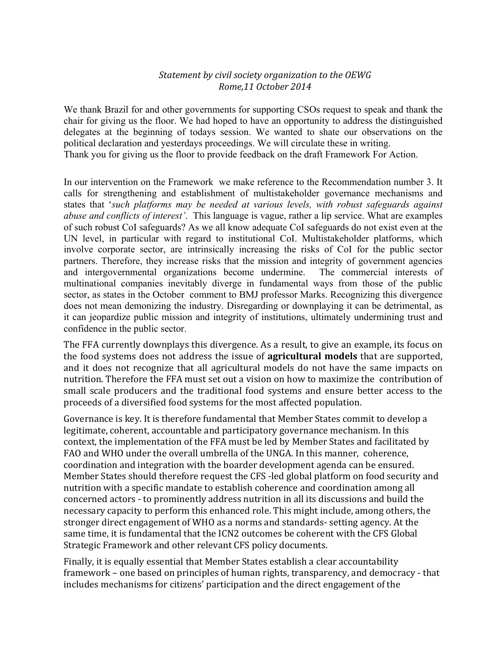## Statement by civil society organization to the OEWG *Rome,11 October 2014*

We thank Brazil for and other governments for supporting CSOs request to speak and thank the chair for giving us the floor. We had hoped to have an opportunity to address the distinguished delegates at the beginning of todays session. We wanted to shate our observations on the political declaration and yesterdays proceedings. We will circulate these in writing. Thank you for giving us the floor to provide feedback on the draft Framework For Action.

In our intervention on the Framework we make reference to the Recommendation number 3. It calls for strengthening and establishment of multistakeholder governance mechanisms and states that '*such platforms may be needed at various levels, with robust safeguards against abuse and conflicts of interest'*. This language is vague, rather a lip service. What are examples of such robust CoI safeguards? As we all know adequate CoI safeguards do not exist even at the UN level, in particular with regard to institutional CoI. Multistakeholder platforms, which involve corporate sector, are intrinsically increasing the risks of CoI for the public sector partners. Therefore, they increase risks that the mission and integrity of government agencies and intergovernmental organizations become undermine. The commercial interests of multinational companies inevitably diverge in fundamental ways from those of the public sector, as states in the October comment to BMJ professor Marks. Recognizing this divergence does not mean demonizing the industry. Disregarding or downplaying it can be detrimental, as it can jeopardize public mission and integrity of institutions, ultimately undermining trust and confidence in the public sector.

The FFA currently downplays this divergence. As a result, to give an example, its focus on the food systems does not address the issue of **agricultural models** that are supported, and it does not recognize that all agricultural models do not have the same impacts on nutrition. Therefore the FFA must set out a vision on how to maximize the contribution of small scale producers and the traditional food systems and ensure better access to the proceeds of a diversified food systems for the most affected population.

Governance is key. It is therefore fundamental that Member States commit to develop a legitimate, coherent, accountable and participatory governance mechanism. In this context, the implementation of the FFA must be led by Member States and facilitated by FAO and WHO under the overall umbrella of the UNGA. In this manner, coherence, coordination and integration with the boarder development agenda can be ensured. Member States should therefore request the CFS -led global platform on food security and nutrition with a specific mandate to establish coherence and coordination among all concerned actors - to prominently address nutrition in all its discussions and build the necessary capacity to perform this enhanced role. This might include, among others, the stronger direct engagement of WHO as a norms and standards- setting agency. At the same time, it is fundamental that the ICN2 outcomes be coherent with the CFS Global Strategic Framework and other relevant CFS policy documents.

Finally, it is equally essential that Member States establish a clear accountability framework – one based on principles of human rights, transparency, and democracy - that includes mechanisms for citizens' participation and the direct engagement of the